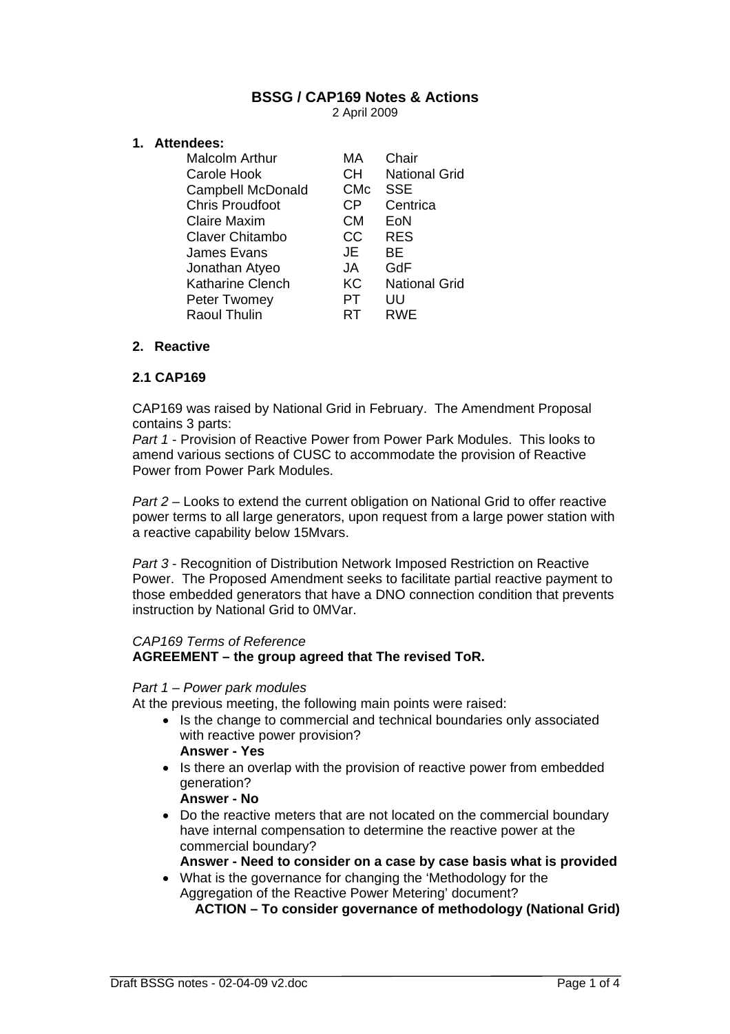# **BSSG / CAP169 Notes & Actions**

2 April 2009

## **1. Attendees:**

| <b>Malcolm Arthur</b>    | МA         | Chair                |
|--------------------------|------------|----------------------|
| Carole Hook              | CН         | <b>National Grid</b> |
| <b>Campbell McDonald</b> | <b>CMc</b> | <b>SSE</b>           |
| <b>Chris Proudfoot</b>   | CР         | Centrica             |
| Claire Maxim             | СM         | EoN                  |
| Claver Chitambo          | СC         | <b>RES</b>           |
| James Evans              | JE         | ВF                   |
| Jonathan Atyeo           | JA         | GdF                  |
| <b>Katharine Clench</b>  | KC         | <b>National Grid</b> |
| Peter Twomey             | PТ         | UU                   |
| <b>Raoul Thulin</b>      | RT         | <b>RWE</b>           |

# **2. Reactive**

## **2.1 CAP169**

CAP169 was raised by National Grid in February. The Amendment Proposal contains 3 parts:

*Part 1* - Provision of Reactive Power from Power Park Modules. This looks to amend various sections of CUSC to accommodate the provision of Reactive Power from Power Park Modules.

*Part 2 – Looks to extend the current obligation on National Grid to offer reactive* power terms to all large generators, upon request from a large power station with a reactive capability below 15Mvars.

*Part 3* - Recognition of Distribution Network Imposed Restriction on Reactive Power. The Proposed Amendment seeks to facilitate partial reactive payment to those embedded generators that have a DNO connection condition that prevents instruction by National Grid to 0MVar.

## *CAP169 Terms of Reference*

## **AGREEMENT – the group agreed that The revised ToR.**

## *Part 1 – Power park modules*

At the previous meeting, the following main points were raised:

- Is the change to commercial and technical boundaries only associated with reactive power provision?
	- **Answer Yes**
- Is there an overlap with the provision of reactive power from embedded generation?
	- **Answer No**
- Do the reactive meters that are not located on the commercial boundary have internal compensation to determine the reactive power at the commercial boundary?

**Answer - Need to consider on a case by case basis what is provided** 

• What is the governance for changing the 'Methodology for the Aggregation of the Reactive Power Metering' document?

**ACTION – To consider governance of methodology (National Grid)**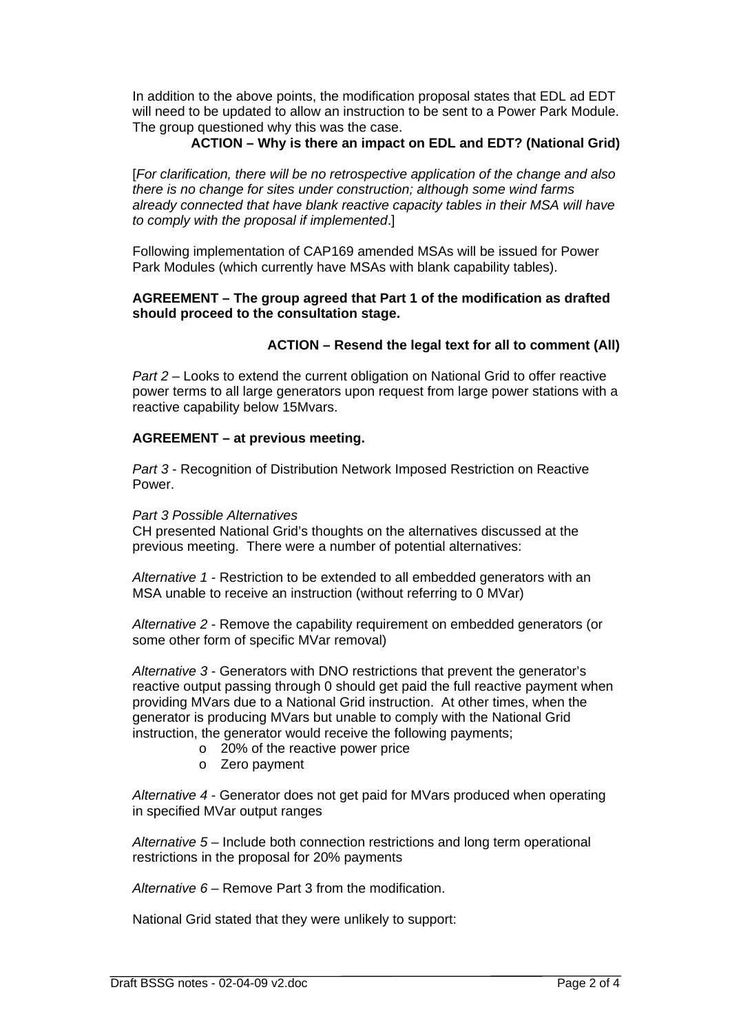In addition to the above points, the modification proposal states that EDL ad EDT will need to be updated to allow an instruction to be sent to a Power Park Module. The group questioned why this was the case.

# **ACTION – Why is there an impact on EDL and EDT? (National Grid)**

[*For clarification, there will be no retrospective application of the change and also there is no change for sites under construction; although some wind farms already connected that have blank reactive capacity tables in their MSA will have to comply with the proposal if implemented*.]

Following implementation of CAP169 amended MSAs will be issued for Power Park Modules (which currently have MSAs with blank capability tables).

# **AGREEMENT – The group agreed that Part 1 of the modification as drafted should proceed to the consultation stage.**

# **ACTION – Resend the legal text for all to comment (All)**

*Part 2 –* Looks to extend the current obligation on National Grid to offer reactive power terms to all large generators upon request from large power stations with a reactive capability below 15Mvars.

# **AGREEMENT – at previous meeting.**

*Part 3* - Recognition of Distribution Network Imposed Restriction on Reactive Power.

## *Part 3 Possible Alternatives*

CH presented National Grid's thoughts on the alternatives discussed at the previous meeting. There were a number of potential alternatives:

*Alternative 1* - Restriction to be extended to all embedded generators with an MSA unable to receive an instruction (without referring to 0 MVar)

*Alternative 2* - Remove the capability requirement on embedded generators (or some other form of specific MVar removal)

*Alternative 3* - Generators with DNO restrictions that prevent the generator's reactive output passing through 0 should get paid the full reactive payment when providing MVars due to a National Grid instruction. At other times, when the generator is producing MVars but unable to comply with the National Grid instruction, the generator would receive the following payments;

- o 20% of the reactive power price
- o Zero payment

*Alternative 4* - Generator does not get paid for MVars produced when operating in specified MVar output ranges

*Alternative 5* – Include both connection restrictions and long term operational restrictions in the proposal for 20% payments

*Alternative 6* – Remove Part 3 from the modification.

National Grid stated that they were unlikely to support: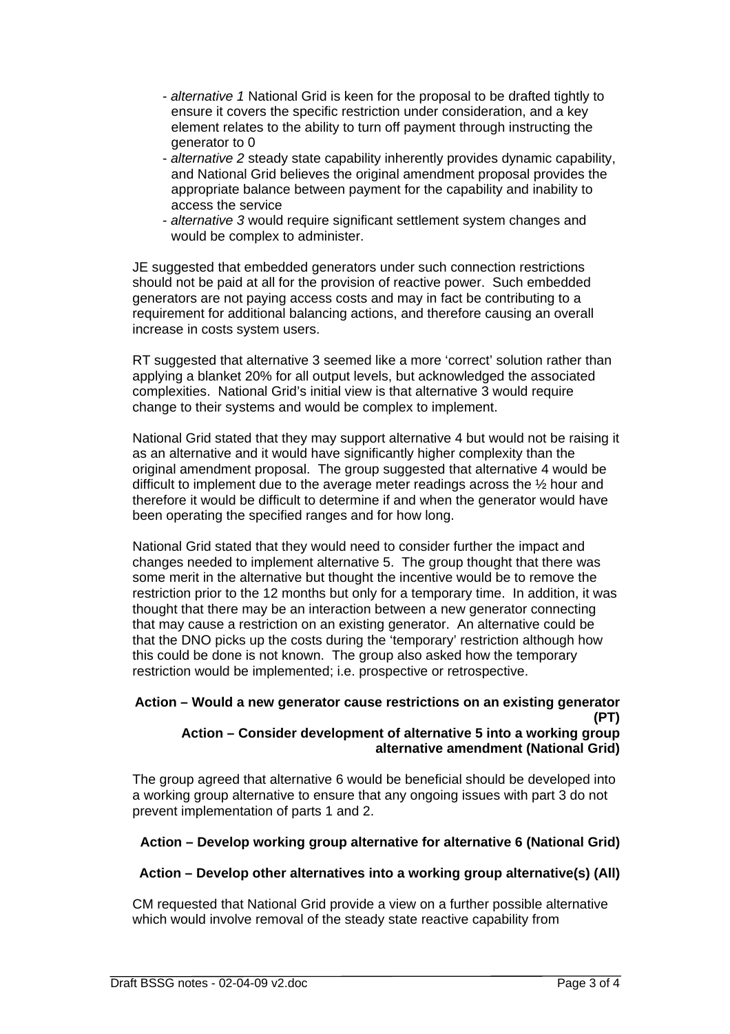- *alternative 1* National Grid is keen for the proposal to be drafted tightly to ensure it covers the specific restriction under consideration, and a key element relates to the ability to turn off payment through instructing the generator to 0
- *alternative 2* steady state capability inherently provides dynamic capability, and National Grid believes the original amendment proposal provides the appropriate balance between payment for the capability and inability to access the service
- *alternative 3* would require significant settlement system changes and would be complex to administer.

JE suggested that embedded generators under such connection restrictions should not be paid at all for the provision of reactive power. Such embedded generators are not paying access costs and may in fact be contributing to a requirement for additional balancing actions, and therefore causing an overall increase in costs system users.

RT suggested that alternative 3 seemed like a more 'correct' solution rather than applying a blanket 20% for all output levels, but acknowledged the associated complexities. National Grid's initial view is that alternative 3 would require change to their systems and would be complex to implement.

National Grid stated that they may support alternative 4 but would not be raising it as an alternative and it would have significantly higher complexity than the original amendment proposal. The group suggested that alternative 4 would be difficult to implement due to the average meter readings across the ½ hour and therefore it would be difficult to determine if and when the generator would have been operating the specified ranges and for how long.

National Grid stated that they would need to consider further the impact and changes needed to implement alternative 5. The group thought that there was some merit in the alternative but thought the incentive would be to remove the restriction prior to the 12 months but only for a temporary time. In addition, it was thought that there may be an interaction between a new generator connecting that may cause a restriction on an existing generator. An alternative could be that the DNO picks up the costs during the 'temporary' restriction although how this could be done is not known. The group also asked how the temporary restriction would be implemented; i.e. prospective or retrospective.

#### **Action – Would a new generator cause restrictions on an existing generator (PT) Action – Consider development of alternative 5 into a working group**

# **alternative amendment (National Grid)**

The group agreed that alternative 6 would be beneficial should be developed into a working group alternative to ensure that any ongoing issues with part 3 do not prevent implementation of parts 1 and 2.

# **Action – Develop working group alternative for alternative 6 (National Grid)**

# **Action – Develop other alternatives into a working group alternative(s) (All)**

CM requested that National Grid provide a view on a further possible alternative which would involve removal of the steady state reactive capability from